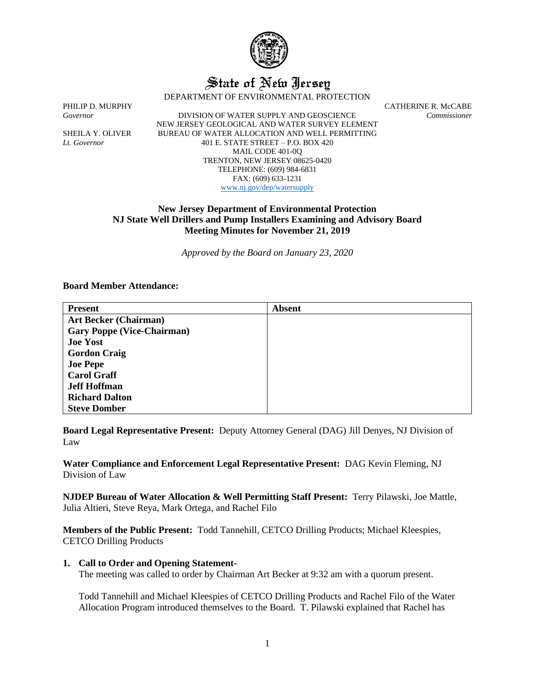

# State of New Jersey

DEPARTMENT OF ENVIRONMENTAL PROTECTION

PHILIP D. MURPHY CATHERINE R. McCABE

*Governor* DIVISION OF WATER SUPPLY AND GEOSCIENCE *Commissioner* NEW JERSEY GEOLOGICAL AND WATER SURVEY ELEMENT SHEILA Y. OLIVER BUREAU OF WATER ALLOCATION AND WELL PERMITTING *Lt. Governor* 401 E. STATE STREET – P.O. BOX 420 MAIL CODE 401-0Q TRENTON, NEW JERSEY 08625-0420 TELEPHONE: (609) 984-6831 FAX: (609) 633-1231 [www.nj.gov/dep/watersupply](http://www.nj.gov/dep/watersupply)

# **New Jersey Department of Environmental Protection NJ State Well Drillers and Pump Installers Examining and Advisory Board Meeting Minutes for November 21, 2019**

*Approved by the Board on January 23, 2020*

## **Board Member Attendance:**

| <b>Present</b>                    | <b>Absent</b> |
|-----------------------------------|---------------|
| <b>Art Becker (Chairman)</b>      |               |
| <b>Gary Poppe (Vice-Chairman)</b> |               |
| <b>Joe Yost</b>                   |               |
| <b>Gordon Craig</b>               |               |
| <b>Joe Pepe</b>                   |               |
| <b>Carol Graff</b>                |               |
| <b>Jeff Hoffman</b>               |               |
| <b>Richard Dalton</b>             |               |
| <b>Steve Domber</b>               |               |

**Board Legal Representative Present:** Deputy Attorney General (DAG) Jill Denyes, NJ Division of Law

**Water Compliance and Enforcement Legal Representative Present:** DAG Kevin Fleming, NJ Division of Law

**NJDEP Bureau of Water Allocation & Well Permitting Staff Present:** Terry Pilawski, Joe Mattle, Julia Altieri, Steve Reya, Mark Ortega, and Rachel Filo

**Members of the Public Present:** Todd Tannehill, CETCO Drilling Products; Michael Kleespies, CETCO Drilling Products

#### **1. Call to Order and Opening Statement-**

The meeting was called to order by Chairman Art Becker at 9:32 am with a quorum present.

Todd Tannehill and Michael Kleespies of CETCO Drilling Products and Rachel Filo of the Water Allocation Program introduced themselves to the Board. T. Pilawski explained that Rachel has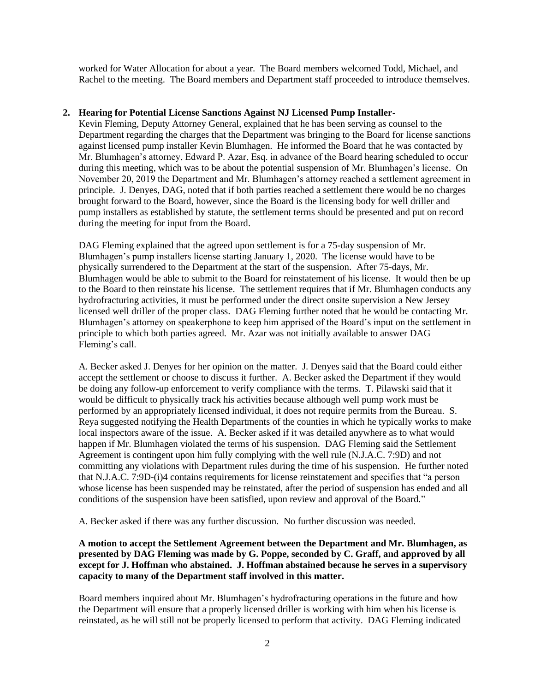worked for Water Allocation for about a year. The Board members welcomed Todd, Michael, and Rachel to the meeting. The Board members and Department staff proceeded to introduce themselves.

## **2. Hearing for Potential License Sanctions Against NJ Licensed Pump Installer-**

Kevin Fleming, Deputy Attorney General, explained that he has been serving as counsel to the Department regarding the charges that the Department was bringing to the Board for license sanctions against licensed pump installer Kevin Blumhagen. He informed the Board that he was contacted by Mr. Blumhagen's attorney, Edward P. Azar, Esq. in advance of the Board hearing scheduled to occur during this meeting, which was to be about the potential suspension of Mr. Blumhagen's license. On November 20, 2019 the Department and Mr. Blumhagen's attorney reached a settlement agreement in principle. J. Denyes, DAG, noted that if both parties reached a settlement there would be no charges brought forward to the Board, however, since the Board is the licensing body for well driller and pump installers as established by statute, the settlement terms should be presented and put on record during the meeting for input from the Board.

DAG Fleming explained that the agreed upon settlement is for a 75-day suspension of Mr. Blumhagen's pump installers license starting January 1, 2020. The license would have to be physically surrendered to the Department at the start of the suspension. After 75-days, Mr. Blumhagen would be able to submit to the Board for reinstatement of his license. It would then be up to the Board to then reinstate his license. The settlement requires that if Mr. Blumhagen conducts any hydrofracturing activities, it must be performed under the direct onsite supervision a New Jersey licensed well driller of the proper class. DAG Fleming further noted that he would be contacting Mr. Blumhagen's attorney on speakerphone to keep him apprised of the Board's input on the settlement in principle to which both parties agreed. Mr. Azar was not initially available to answer DAG Fleming's call.

A. Becker asked J. Denyes for her opinion on the matter. J. Denyes said that the Board could either accept the settlement or choose to discuss it further. A. Becker asked the Department if they would be doing any follow-up enforcement to verify compliance with the terms. T. Pilawski said that it would be difficult to physically track his activities because although well pump work must be performed by an appropriately licensed individual, it does not require permits from the Bureau. S. Reya suggested notifying the Health Departments of the counties in which he typically works to make local inspectors aware of the issue. A. Becker asked if it was detailed anywhere as to what would happen if Mr. Blumhagen violated the terms of his suspension. DAG Fleming said the Settlement Agreement is contingent upon him fully complying with the well rule (N.J.A.C. 7:9D) and not committing any violations with Department rules during the time of his suspension. He further noted that N.J.A.C. 7:9D-(i)4 contains requirements for license reinstatement and specifies that "a person whose license has been suspended may be reinstated, after the period of suspension has ended and all conditions of the suspension have been satisfied, upon review and approval of the Board."

A. Becker asked if there was any further discussion. No further discussion was needed.

# **A motion to accept the Settlement Agreement between the Department and Mr. Blumhagen, as presented by DAG Fleming was made by G. Poppe, seconded by C. Graff, and approved by all except for J. Hoffman who abstained. J. Hoffman abstained because he serves in a supervisory capacity to many of the Department staff involved in this matter.**

Board members inquired about Mr. Blumhagen's hydrofracturing operations in the future and how the Department will ensure that a properly licensed driller is working with him when his license is reinstated, as he will still not be properly licensed to perform that activity. DAG Fleming indicated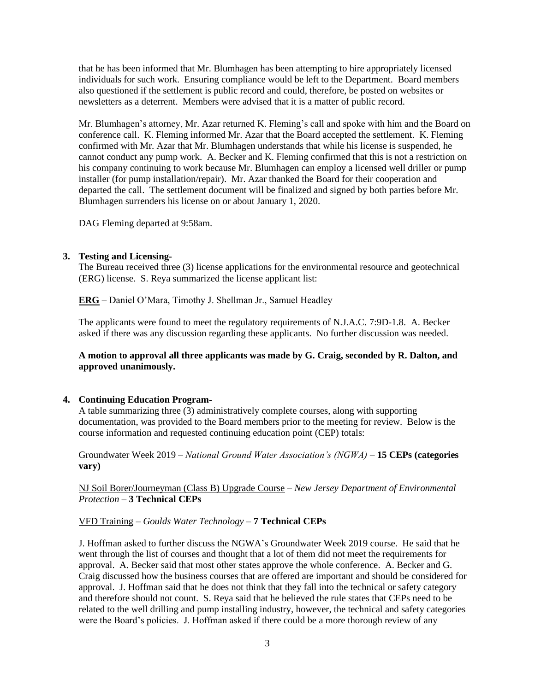that he has been informed that Mr. Blumhagen has been attempting to hire appropriately licensed individuals for such work. Ensuring compliance would be left to the Department. Board members also questioned if the settlement is public record and could, therefore, be posted on websites or newsletters as a deterrent. Members were advised that it is a matter of public record.

Mr. Blumhagen's attorney, Mr. Azar returned K. Fleming's call and spoke with him and the Board on conference call. K. Fleming informed Mr. Azar that the Board accepted the settlement. K. Fleming confirmed with Mr. Azar that Mr. Blumhagen understands that while his license is suspended, he cannot conduct any pump work. A. Becker and K. Fleming confirmed that this is not a restriction on his company continuing to work because Mr. Blumhagen can employ a licensed well driller or pump installer (for pump installation/repair). Mr. Azar thanked the Board for their cooperation and departed the call. The settlement document will be finalized and signed by both parties before Mr. Blumhagen surrenders his license on or about January 1, 2020.

DAG Fleming departed at 9:58am.

## **3. Testing and Licensing-**

The Bureau received three (3) license applications for the environmental resource and geotechnical (ERG) license. S. Reya summarized the license applicant list:

**ERG** – Daniel O'Mara, Timothy J. Shellman Jr., Samuel Headley

The applicants were found to meet the regulatory requirements of N.J.A.C. 7:9D-1.8. A. Becker asked if there was any discussion regarding these applicants. No further discussion was needed.

**A motion to approval all three applicants was made by G. Craig, seconded by R. Dalton, and approved unanimously.**

#### **4. Continuing Education Program-**

A table summarizing three (3) administratively complete courses, along with supporting documentation, was provided to the Board members prior to the meeting for review. Below is the course information and requested continuing education point (CEP) totals:

Groundwater Week 2019 – *National Ground Water Association's (NGWA)* – **15 CEPs (categories vary)**

NJ Soil Borer/Journeyman (Class B) Upgrade Course – *New Jersey Department of Environmental Protection* – **3 Technical CEPs**

#### VFD Training – *Goulds Water Technology* – **7 Technical CEPs**

J. Hoffman asked to further discuss the NGWA's Groundwater Week 2019 course. He said that he went through the list of courses and thought that a lot of them did not meet the requirements for approval. A. Becker said that most other states approve the whole conference. A. Becker and G. Craig discussed how the business courses that are offered are important and should be considered for approval. J. Hoffman said that he does not think that they fall into the technical or safety category and therefore should not count. S. Reya said that he believed the rule states that CEPs need to be related to the well drilling and pump installing industry, however, the technical and safety categories were the Board's policies. J. Hoffman asked if there could be a more thorough review of any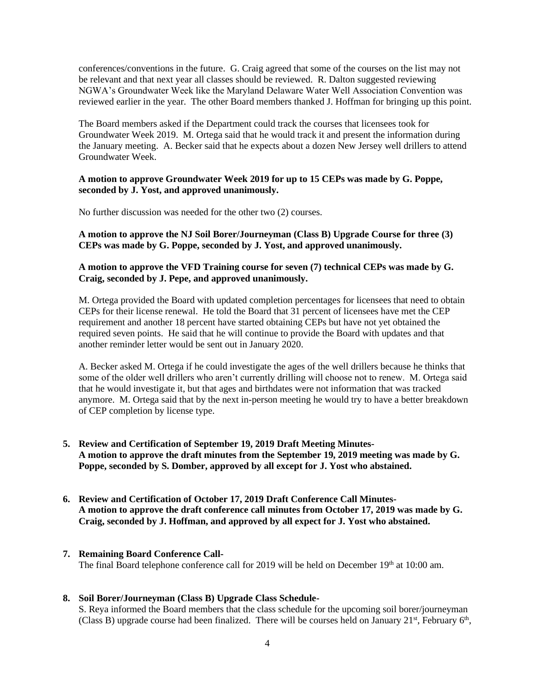conferences/conventions in the future. G. Craig agreed that some of the courses on the list may not be relevant and that next year all classes should be reviewed. R. Dalton suggested reviewing NGWA's Groundwater Week like the Maryland Delaware Water Well Association Convention was reviewed earlier in the year. The other Board members thanked J. Hoffman for bringing up this point.

The Board members asked if the Department could track the courses that licensees took for Groundwater Week 2019. M. Ortega said that he would track it and present the information during the January meeting. A. Becker said that he expects about a dozen New Jersey well drillers to attend Groundwater Week.

## **A motion to approve Groundwater Week 2019 for up to 15 CEPs was made by G. Poppe, seconded by J. Yost, and approved unanimously.**

No further discussion was needed for the other two (2) courses.

**A motion to approve the NJ Soil Borer/Journeyman (Class B) Upgrade Course for three (3) CEPs was made by G. Poppe, seconded by J. Yost, and approved unanimously.**

## **A motion to approve the VFD Training course for seven (7) technical CEPs was made by G. Craig, seconded by J. Pepe, and approved unanimously.**

M. Ortega provided the Board with updated completion percentages for licensees that need to obtain CEPs for their license renewal. He told the Board that 31 percent of licensees have met the CEP requirement and another 18 percent have started obtaining CEPs but have not yet obtained the required seven points. He said that he will continue to provide the Board with updates and that another reminder letter would be sent out in January 2020.

A. Becker asked M. Ortega if he could investigate the ages of the well drillers because he thinks that some of the older well drillers who aren't currently drilling will choose not to renew. M. Ortega said that he would investigate it, but that ages and birthdates were not information that was tracked anymore. M. Ortega said that by the next in-person meeting he would try to have a better breakdown of CEP completion by license type.

- **5. Review and Certification of September 19, 2019 Draft Meeting Minutes-A motion to approve the draft minutes from the September 19, 2019 meeting was made by G. Poppe, seconded by S. Domber, approved by all except for J. Yost who abstained.**
- **6. Review and Certification of October 17, 2019 Draft Conference Call Minutes-A motion to approve the draft conference call minutes from October 17, 2019 was made by G. Craig, seconded by J. Hoffman, and approved by all expect for J. Yost who abstained.**

#### **7. Remaining Board Conference Call-**

The final Board telephone conference call for 2019 will be held on December 19th at 10:00 am.

#### **8. Soil Borer/Journeyman (Class B) Upgrade Class Schedule-**

S. Reya informed the Board members that the class schedule for the upcoming soil borer/journeyman (Class B) upgrade course had been finalized. There will be courses held on January  $21^{st}$ , February  $6^{th}$ ,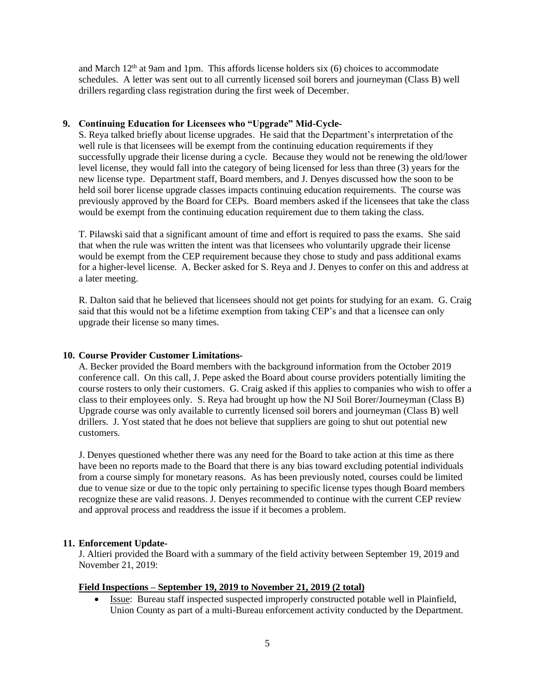and March  $12<sup>th</sup>$  at 9am and 1pm. This affords license holders six (6) choices to accommodate schedules. A letter was sent out to all currently licensed soil borers and journeyman (Class B) well drillers regarding class registration during the first week of December.

### **9. Continuing Education for Licensees who "Upgrade" Mid-Cycle-**

S. Reya talked briefly about license upgrades. He said that the Department's interpretation of the well rule is that licensees will be exempt from the continuing education requirements if they successfully upgrade their license during a cycle. Because they would not be renewing the old/lower level license, they would fall into the category of being licensed for less than three (3) years for the new license type. Department staff, Board members, and J. Denyes discussed how the soon to be held soil borer license upgrade classes impacts continuing education requirements. The course was previously approved by the Board for CEPs. Board members asked if the licensees that take the class would be exempt from the continuing education requirement due to them taking the class.

T. Pilawski said that a significant amount of time and effort is required to pass the exams. She said that when the rule was written the intent was that licensees who voluntarily upgrade their license would be exempt from the CEP requirement because they chose to study and pass additional exams for a higher-level license. A. Becker asked for S. Reya and J. Denyes to confer on this and address at a later meeting.

R. Dalton said that he believed that licensees should not get points for studying for an exam. G. Craig said that this would not be a lifetime exemption from taking CEP's and that a licensee can only upgrade their license so many times.

## **10. Course Provider Customer Limitations-**

A. Becker provided the Board members with the background information from the October 2019 conference call. On this call, J. Pepe asked the Board about course providers potentially limiting the course rosters to only their customers. G. Craig asked if this applies to companies who wish to offer a class to their employees only. S. Reya had brought up how the NJ Soil Borer/Journeyman (Class B) Upgrade course was only available to currently licensed soil borers and journeyman (Class B) well drillers. J. Yost stated that he does not believe that suppliers are going to shut out potential new customers.

J. Denyes questioned whether there was any need for the Board to take action at this time as there have been no reports made to the Board that there is any bias toward excluding potential individuals from a course simply for monetary reasons. As has been previously noted, courses could be limited due to venue size or due to the topic only pertaining to specific license types though Board members recognize these are valid reasons. J. Denyes recommended to continue with the current CEP review and approval process and readdress the issue if it becomes a problem.

## **11. Enforcement Update-**

J. Altieri provided the Board with a summary of the field activity between September 19, 2019 and November 21, 2019:

## **Field Inspections – September 19, 2019 to November 21, 2019 (2 total)**

• Issue: Bureau staff inspected suspected improperly constructed potable well in Plainfield, Union County as part of a multi-Bureau enforcement activity conducted by the Department.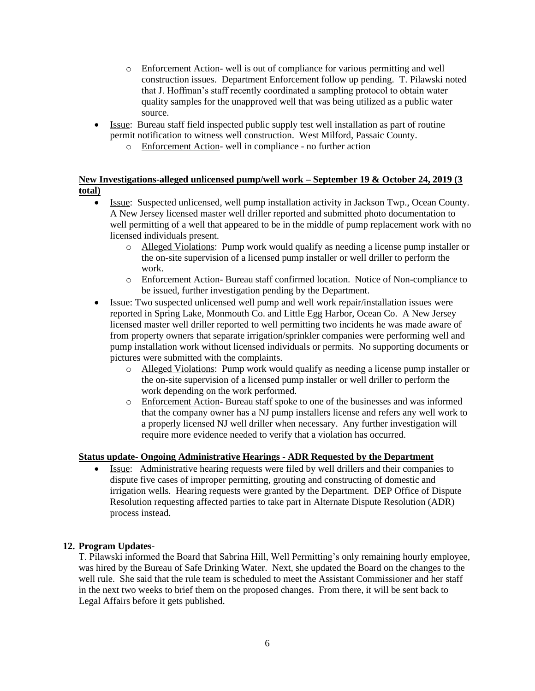- o Enforcement Action- well is out of compliance for various permitting and well construction issues. Department Enforcement follow up pending. T. Pilawski noted that J. Hoffman's staff recently coordinated a sampling protocol to obtain water quality samples for the unapproved well that was being utilized as a public water source.
- Issue: Bureau staff field inspected public supply test well installation as part of routine permit notification to witness well construction. West Milford, Passaic County.
	- o Enforcement Action- well in compliance no further action

# **New Investigations-alleged unlicensed pump/well work – September 19 & October 24, 2019 (3 total)**

- Issue: Suspected unlicensed, well pump installation activity in Jackson Twp., Ocean County. A New Jersey licensed master well driller reported and submitted photo documentation to well permitting of a well that appeared to be in the middle of pump replacement work with no licensed individuals present.
	- o Alleged Violations: Pump work would qualify as needing a license pump installer or the on-site supervision of a licensed pump installer or well driller to perform the work.
	- o Enforcement Action- Bureau staff confirmed location. Notice of Non-compliance to be issued, further investigation pending by the Department.
- Issue: Two suspected unlicensed well pump and well work repair/installation issues were reported in Spring Lake, Monmouth Co. and Little Egg Harbor, Ocean Co. A New Jersey licensed master well driller reported to well permitting two incidents he was made aware of from property owners that separate irrigation/sprinkler companies were performing well and pump installation work without licensed individuals or permits. No supporting documents or pictures were submitted with the complaints.
	- o Alleged Violations: Pump work would qualify as needing a license pump installer or the on-site supervision of a licensed pump installer or well driller to perform the work depending on the work performed.
	- o Enforcement Action- Bureau staff spoke to one of the businesses and was informed that the company owner has a NJ pump installers license and refers any well work to a properly licensed NJ well driller when necessary. Any further investigation will require more evidence needed to verify that a violation has occurred.

# **Status update- Ongoing Administrative Hearings - ADR Requested by the Department**

• Issue: Administrative hearing requests were filed by well drillers and their companies to dispute five cases of improper permitting, grouting and constructing of domestic and irrigation wells. Hearing requests were granted by the Department. DEP Office of Dispute Resolution requesting affected parties to take part in Alternate Dispute Resolution (ADR) process instead.

## **12. Program Updates-**

T. Pilawski informed the Board that Sabrina Hill, Well Permitting's only remaining hourly employee, was hired by the Bureau of Safe Drinking Water. Next, she updated the Board on the changes to the well rule. She said that the rule team is scheduled to meet the Assistant Commissioner and her staff in the next two weeks to brief them on the proposed changes. From there, it will be sent back to Legal Affairs before it gets published.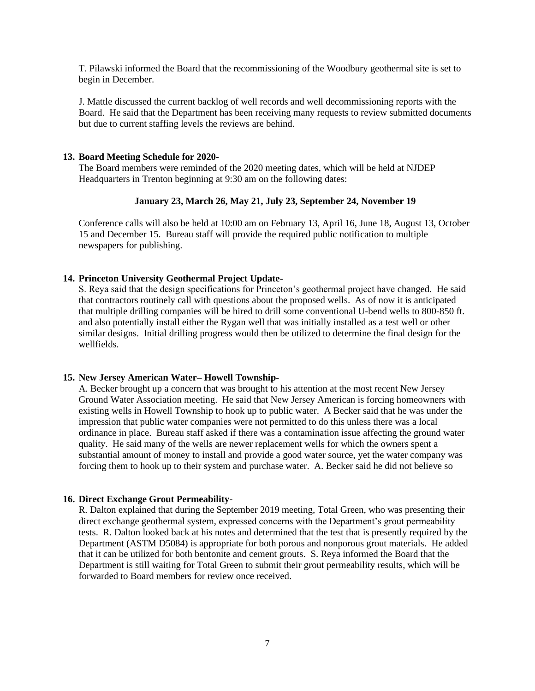T. Pilawski informed the Board that the recommissioning of the Woodbury geothermal site is set to begin in December.

J. Mattle discussed the current backlog of well records and well decommissioning reports with the Board. He said that the Department has been receiving many requests to review submitted documents but due to current staffing levels the reviews are behind.

### **13. Board Meeting Schedule for 2020-**

The Board members were reminded of the 2020 meeting dates, which will be held at NJDEP Headquarters in Trenton beginning at 9:30 am on the following dates:

## **January 23, March 26, May 21, July 23, September 24, November 19**

Conference calls will also be held at 10:00 am on February 13, April 16, June 18, August 13, October 15 and December 15. Bureau staff will provide the required public notification to multiple newspapers for publishing.

## **14. Princeton University Geothermal Project Update-**

S. Reya said that the design specifications for Princeton's geothermal project have changed. He said that contractors routinely call with questions about the proposed wells. As of now it is anticipated that multiple drilling companies will be hired to drill some conventional U-bend wells to 800-850 ft. and also potentially install either the Rygan well that was initially installed as a test well or other similar designs. Initial drilling progress would then be utilized to determine the final design for the wellfields.

#### **15. New Jersey American Water– Howell Township-**

A. Becker brought up a concern that was brought to his attention at the most recent New Jersey Ground Water Association meeting. He said that New Jersey American is forcing homeowners with existing wells in Howell Township to hook up to public water. A Becker said that he was under the impression that public water companies were not permitted to do this unless there was a local ordinance in place. Bureau staff asked if there was a contamination issue affecting the ground water quality. He said many of the wells are newer replacement wells for which the owners spent a substantial amount of money to install and provide a good water source, yet the water company was forcing them to hook up to their system and purchase water. A. Becker said he did not believe so

## **16. Direct Exchange Grout Permeability-**

R. Dalton explained that during the September 2019 meeting, Total Green, who was presenting their direct exchange geothermal system, expressed concerns with the Department's grout permeability tests. R. Dalton looked back at his notes and determined that the test that is presently required by the Department (ASTM D5084) is appropriate for both porous and nonporous grout materials. He added that it can be utilized for both bentonite and cement grouts. S. Reya informed the Board that the Department is still waiting for Total Green to submit their grout permeability results, which will be forwarded to Board members for review once received.